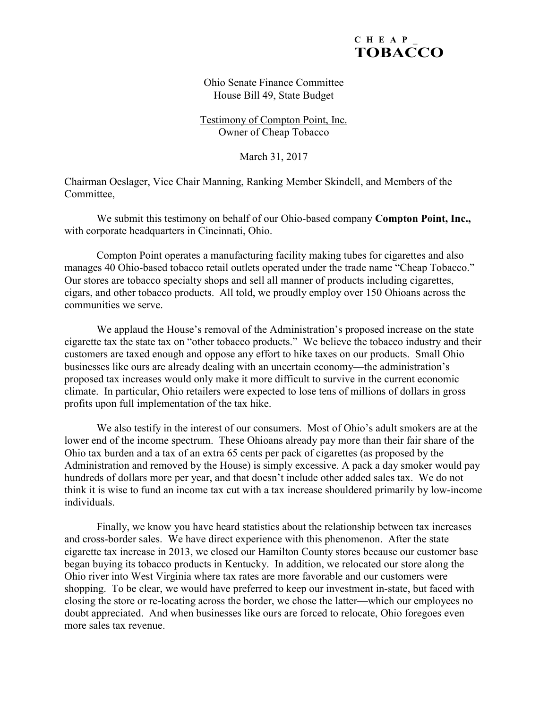

Ohio Senate Finance Committee House Bill 49, State Budget

Testimony of Compton Point, Inc. Owner of Cheap Tobacco

March 31, 2017

Chairman Oeslager, Vice Chair Manning, Ranking Member Skindell, and Members of the Committee,

 We submit this testimony on behalf of our Ohio-based company **Compton Point, Inc.,** with corporate headquarters in Cincinnati, Ohio.

 Compton Point operates a manufacturing facility making tubes for cigarettes and also manages 40 Ohio-based tobacco retail outlets operated under the trade name "Cheap Tobacco." Our stores are tobacco specialty shops and sell all manner of products including cigarettes, cigars, and other tobacco products. All told, we proudly employ over 150 Ohioans across the communities we serve.

 We applaud the House's removal of the Administration's proposed increase on the state cigarette tax the state tax on "other tobacco products." We believe the tobacco industry and their customers are taxed enough and oppose any effort to hike taxes on our products. Small Ohio businesses like ours are already dealing with an uncertain economy—the administration's proposed tax increases would only make it more difficult to survive in the current economic climate. In particular, Ohio retailers were expected to lose tens of millions of dollars in gross profits upon full implementation of the tax hike.

 We also testify in the interest of our consumers. Most of Ohio's adult smokers are at the lower end of the income spectrum. These Ohioans already pay more than their fair share of the Ohio tax burden and a tax of an extra 65 cents per pack of cigarettes (as proposed by the Administration and removed by the House) is simply excessive. A pack a day smoker would pay hundreds of dollars more per year, and that doesn't include other added sales tax. We do not think it is wise to fund an income tax cut with a tax increase shouldered primarily by low-income individuals.

 Finally, we know you have heard statistics about the relationship between tax increases and cross-border sales. We have direct experience with this phenomenon. After the state cigarette tax increase in 2013, we closed our Hamilton County stores because our customer base began buying its tobacco products in Kentucky. In addition, we relocated our store along the Ohio river into West Virginia where tax rates are more favorable and our customers were shopping. To be clear, we would have preferred to keep our investment in-state, but faced with closing the store or re-locating across the border, we chose the latter—which our employees no doubt appreciated. And when businesses like ours are forced to relocate, Ohio foregoes even more sales tax revenue.